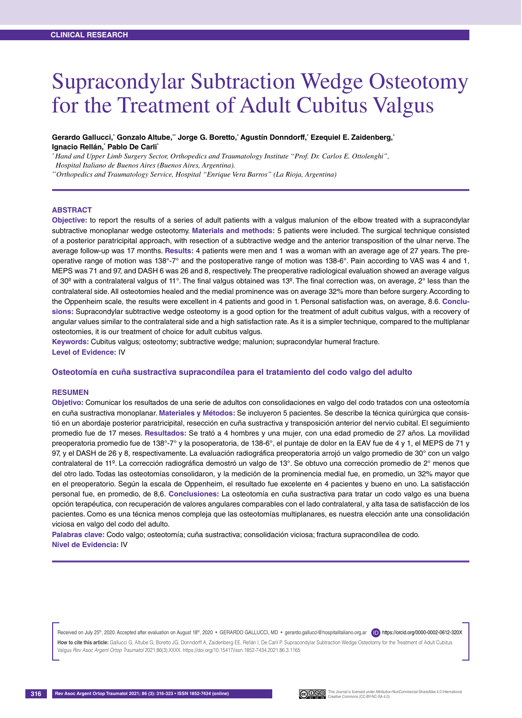# Supracondylar Subtraction Wedge Osteotomy for the Treatment of Adult Cubitus Valgus

#### **Gerardo Gallucci,\* Gonzalo Altube,\*\* Jorge G. Boretto,\* Agustín Donndorff,\* Ezequiel E. Zaidenberg,\* Ignacio Rellán,\* Pablo De Carli\***

*\* Hand and Upper Limb Surgery Sector, Orthopedics and Traumatology Institute "Prof. Dr. Carlos E. Ottolenghi",* 

 *Hospital Italiano de Buenos Aires (Buenos Aires, Argentina).*

*\*\*Orthopedics and Traumatology Service, Hospital "Enrique Vera Barros" (La Rioja, Argentina)*

#### **Abstract**

**Objective:** to report the results of a series of adult patients with a valgus malunion of the elbow treated with a supracondylar subtractive monoplanar wedge osteotomy. **Materials and methods:** 5 patients were included. The surgical technique consisted of a posterior paratricipital approach, with resection of a subtractive wedge and the anterior transposition of the ulnar nerve. The average follow-up was 17 months. **Results:** 4 patients were men and 1 was a woman with an average age of 27 years. The preoperative range of motion was  $138^\circ$ -7° and the postoperative range of motion was  $138$ -6°. Pain according to VAS was 4 and 1, MEPS was 71 and 97, and DASH 6 was 26 and 8, respectively. The preoperative radiological evaluation showed an average valgus of 30º with a contralateral valgus of 11°. The final valgus obtained was 13º. The final correction was, on average, 2° less than the contralateral side. All osteotomies healed and the medial prominence was on average 32% more than before surgery. According to the Oppenheim scale, the results were excellent in 4 patients and good in 1. Personal satisfaction was, on average, 8.6. **Conclusions:** Supracondylar subtractive wedge osteotomy is a good option for the treatment of adult cubitus valgus, with a recovery of angular values similar to the contralateral side and a high satisfaction rate. As it is a simpler technique, compared to the multiplanar osteotomies, it is our treatment of choice for adult cubitus valgus.

**Keywords:** Cubitus valgus; osteotomy; subtractive wedge; malunion; supracondylar humeral fracture. **Level of Evidence:** IV

#### **Osteotomía en cuña sustractiva supracondílea para el tratamiento del codo valgo del adulto**

#### **Resumen**

**Objetivo:** Comunicar los resultados de una serie de adultos con consolidaciones en valgo del codo tratados con una osteotomía en cuña sustractiva monoplanar. **Materiales y Métodos:** Se incluyeron 5 pacientes. Se describe la técnica quirúrgica que consistió en un abordaje posterior paratricipital, resección en cuña sustractiva y transposición anterior del nervio cubital. El seguimiento promedio fue de 17 meses. **Resultados:** Se trató a 4 hombres y una mujer, con una edad promedio de 27 años. La movilidad preoperatoria promedio fue de 138°-7° y la posoperatoria, de 138-6°, el puntaje de dolor en la EAV fue de 4 y 1, el MEPS de 71 y 97, y el DASH de 26 y 8, respectivamente. La evaluación radiográfica preoperatoria arrojó un valgo promedio de 30° con un valgo contralateral de 11º. La corrección radiográfica demostró un valgo de 13°. Se obtuvo una corrección promedio de 2° menos que del otro lado. Todas las osteotomías consolidaron, y la medición de la prominencia medial fue, en promedio, un 32% mayor que en el preoperatorio. Según la escala de Oppenheim, el resultado fue excelente en 4 pacientes y bueno en uno. La satisfacción personal fue, en promedio, de 8,6. **Conclusiones:** La osteotomía en cuña sustractiva para tratar un codo valgo es una buena opción terapéutica, con recuperación de valores angulares comparables con el lado contralateral, y alta tasa de satisfacción de los pacientes. Como es una técnica menos compleja que las osteotomías multiplanares, es nuestra elección ante una consolidación viciosa en valgo del codo del adulto.

**Palabras clave:** Codo valgo; osteotomía; cuña sustractiva; consolidación viciosa; fractura supracondílea de codo. **Nivel de Evidencia:** IV

Received on July 25<sup>th</sup>, 2020. Accepted after evaluation on August 18<sup>th</sup>, 2020 · GERARDO GALLUCCI, MD · gerardo.gallucci@hospitalitaliano.org.ar (ID) https://orcid.org/0000-0002-0612-320X

How to cite this article: Gallucci G, Altube G, Boretto JG, Donndorff A, Zaidenberg EE, Rellán I, De Carli P. Supracondylar Subtraction Wedge Osteotomy for the Treatment of Adult Cubitus Valgus *Rev Asoc Argent Ortop Traumatol* 2021;86(3):XXXX. https://doi.org/10.15417/issn.1852-7434.2021.86.3.1165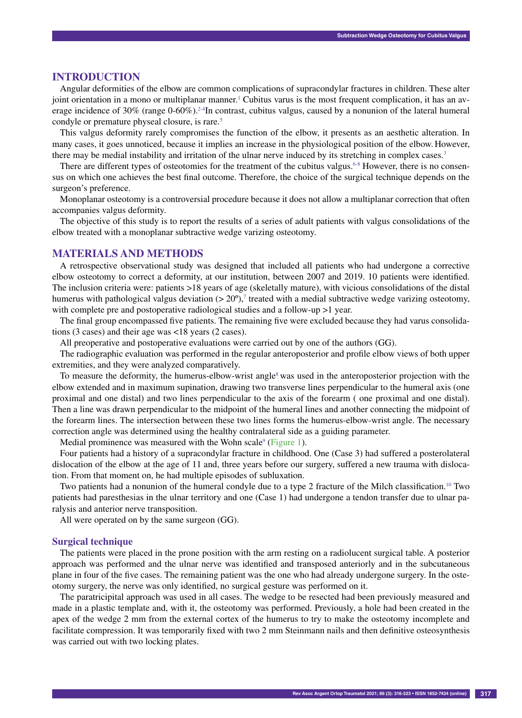## **Introduction**

Angular deformities of the elbow are common complications of supracondylar fractures in children. These alter joint orientation in a mono or multiplanar manner.<sup>1</sup> Cubitus varus is the most frequent complication, it has an average incidence of 30% (range 0-60%).<sup>2-4</sup>In contrast, cubitus valgus, caused by a nonunion of the lateral humeral condyle or premature physeal closure, is rare.<sup>5</sup>

This valgus deformity rarely compromises the function of the elbow, it presents as an aesthetic alteration. In many cases, it goes unnoticed, because it implies an increase in the physiological position of the elbow. However, there may be medial instability and irritation of the ulnar nerve induced by its stretching in complex cases.3

There are different types of osteotomies for the treatment of the cubitus valgus.<sup>6-8</sup> However, there is no consensus on which one achieves the best final outcome. Therefore, the choice of the surgical technique depends on the surgeon's preference.

Monoplanar osteotomy is a controversial procedure because it does not allow a multiplanar correction that often accompanies valgus deformity.

The objective of this study is to report the results of a series of adult patients with valgus consolidations of the elbow treated with a monoplanar subtractive wedge varizing osteotomy.

## **Materials and Methods**

A retrospective observational study was designed that included all patients who had undergone a corrective elbow osteotomy to correct a deformity, at our institution, between 2007 and 2019. 10 patients were identified. The inclusion criteria were: patients >18 years of age (skeletally mature), with vicious consolidations of the distal humerus with pathological valgus deviation  $(> 20^{\circ})$ ,<sup>7</sup> treated with a medial subtractive wedge varizing osteotomy, with complete pre and postoperative radiological studies and a follow-up  $>1$  year.

The final group encompassed five patients. The remaining five were excluded because they had varus consolidations (3 cases) and their age was <18 years (2 cases).

All preoperative and postoperative evaluations were carried out by one of the authors (GG).

The radiographic evaluation was performed in the regular anteroposterior and profile elbow views of both upper extremities, and they were analyzed comparatively.

To measure the deformity, the humerus-elbow-wrist angle<sup>8</sup> was used in the anteroposterior projection with the elbow extended and in maximum supination, drawing two transverse lines perpendicular to the humeral axis (one proximal and one distal) and two lines perpendicular to the axis of the forearm ( one proximal and one distal). Then a line was drawn perpendicular to the midpoint of the humeral lines and another connecting the midpoint of the forearm lines. The intersection between these two lines forms the humerus-elbow-wrist angle. The necessary correction angle was determined using the healthy contralateral side as a guiding parameter.

Medial prominence was measured with the Wohn scale $9$  (Figure 1).

Four patients had a history of a supracondylar fracture in childhood. One (Case 3) had suffered a posterolateral dislocation of the elbow at the age of 11 and, three years before our surgery, suffered a new trauma with dislocation. From that moment on, he had multiple episodes of subluxation.

Two patients had a nonunion of the humeral condyle due to a type 2 fracture of the Milch classification.10 Two patients had paresthesias in the ulnar territory and one (Case 1) had undergone a tendon transfer due to ulnar paralysis and anterior nerve transposition.

All were operated on by the same surgeon (GG).

### **Surgical technique**

The patients were placed in the prone position with the arm resting on a radiolucent surgical table. A posterior approach was performed and the ulnar nerve was identified and transposed anteriorly and in the subcutaneous plane in four of the five cases. The remaining patient was the one who had already undergone surgery. In the osteotomy surgery, the nerve was only identified, no surgical gesture was performed on it.

The paratricipital approach was used in all cases. The wedge to be resected had been previously measured and made in a plastic template and, with it, the osteotomy was performed. Previously, a hole had been created in the apex of the wedge 2 mm from the external cortex of the humerus to try to make the osteotomy incomplete and facilitate compression. It was temporarily fixed with two 2 mm Steinmann nails and then definitive osteosynthesis was carried out with two locking plates.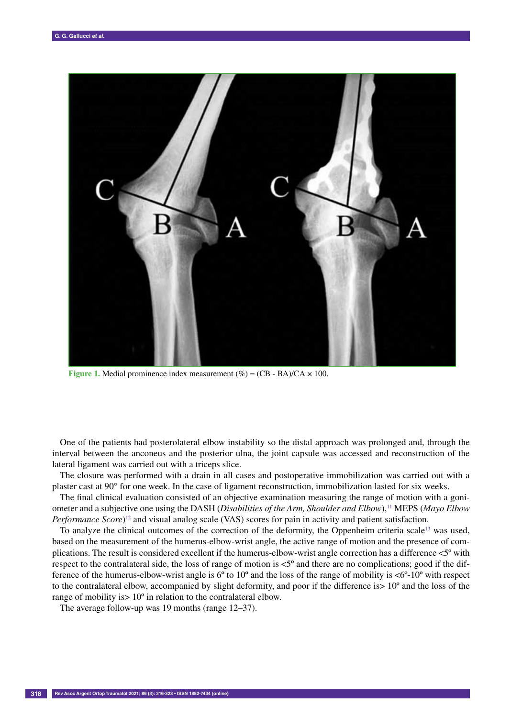

**Figure 1.** Medial prominence index measurement  $(\%) = (CB - BA)/CA \times 100$ .

One of the patients had posterolateral elbow instability so the distal approach was prolonged and, through the interval between the anconeus and the posterior ulna, the joint capsule was accessed and reconstruction of the lateral ligament was carried out with a triceps slice.

The closure was performed with a drain in all cases and postoperative immobilization was carried out with a plaster cast at 90° for one week. In the case of ligament reconstruction, immobilization lasted for six weeks.

The final clinical evaluation consisted of an objective examination measuring the range of motion with a goniometer and a subjective one using the DASH (*Disabilities of the Arm, Shoulder and Elbow*),<sup>11</sup> MEPS (*Mayo Elbow*) *Performance Score*) 12 and visual analog scale (VAS) scores for pain in activity and patient satisfaction.

To analyze the clinical outcomes of the correction of the deformity, the Oppenheim criteria scale13 was used, based on the measurement of the humerus-elbow-wrist angle, the active range of motion and the presence of complications. The result is considered excellent if the humerus-elbow-wrist angle correction has a difference <5º with respect to the contralateral side, the loss of range of motion is <5º and there are no complications; good if the difference of the humerus-elbow-wrist angle is 6º to 10º and the loss of the range of mobility is <6º-10º with respect to the contralateral elbow, accompanied by slight deformity, and poor if the difference is> 10º and the loss of the range of mobility is > 10<sup>°</sup> in relation to the contralateral elbow.

The average follow-up was 19 months (range 12–37).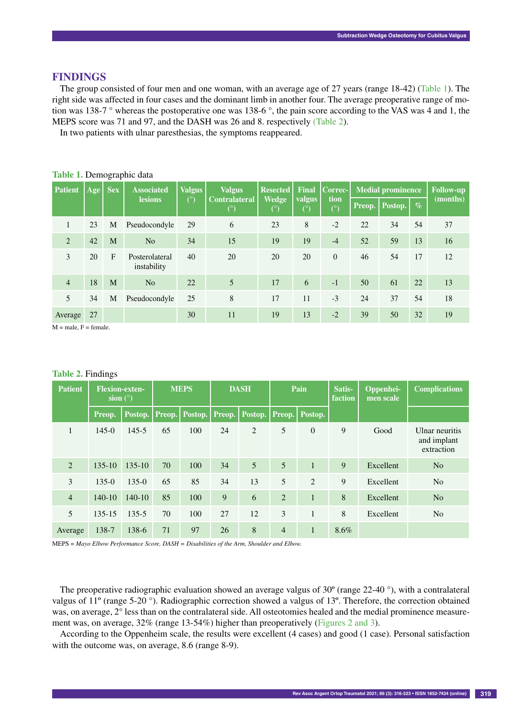# **Findings**

The group consisted of four men and one woman, with an average age of 27 years (range 18-42) (Table 1). The right side was affected in four cases and the dominant limb in another four. The average preoperative range of motion was 138-7 ° whereas the postoperative one was 138-6 °, the pain score according to the VAS was 4 and 1, the MEPS score was 71 and 97, and the DASH was 26 and 8. respectively (Table 2).

In two patients with ulnar paresthesias, the symptoms reappeared.

| <b>Patient</b> | Age | <b>Sex</b>   | <b>Associated</b>             | Valgus | <b>Valgus</b>                      | <b>Resected</b><br><b>Wedge</b><br>$(^\circ)$ | <b>Final</b><br>valgus<br>(°) | Correc-<br>tion<br>$(^\circ)$ | <b>Medial prominence</b> |                  |                 | <b>Follow-up</b> |
|----------------|-----|--------------|-------------------------------|--------|------------------------------------|-----------------------------------------------|-------------------------------|-------------------------------|--------------------------|------------------|-----------------|------------------|
|                |     |              | <b>lesions</b>                | (°)    | <b>Contralateral</b><br>$(^\circ)$ |                                               |                               |                               |                          | Preop.   Postop. | $\mathcal{Q}_0$ | (months)         |
|                | 23  | M            | Pseudocondyle                 | 29     | 6                                  | 23                                            | 8                             | $-2$                          | 22                       | 34               | 54              | 37               |
| 2              | 42  | M            | N <sub>o</sub>                | 34     | 15                                 | 19                                            | 19                            | $-4$                          | 52                       | 59               | 13              | 16               |
| 3              | 20  | $\mathbf{F}$ | Posterolateral<br>instability | 40     | 20                                 | 20                                            | 20                            | $\Omega$                      | 46                       | 54               | 17              | 12               |
| $\overline{4}$ | 18  | M            | N <sub>o</sub>                | 22     | 5                                  | 17                                            | 6                             | $-1$                          | 50                       | 61               | 22              | 13               |
| 5              | 34  | M            | Pseudocondyle                 | 25     | 8                                  | 17                                            | 11                            | $-3$                          | 24                       | 37               | 54              | 18               |
| Average        | 27  |              |                               | 30     | 11                                 | 19                                            | 13                            | $-2$                          | 39                       | 50               | 32              | 19               |

#### **Table 1.** Demographic data

 $M = male$ ,  $F = female$ .

## **Table 2.** Findings

| <b>Patient</b> | <b>Flexion-exten-</b><br>sion $(^\circ)$ |                            | <b>MEPS</b> |     | <b>DASH</b> |                                     | Pain           |                | Satis-<br>faction | Oppenhei-<br>men scale | <b>Complications</b>                        |  |
|----------------|------------------------------------------|----------------------------|-------------|-----|-------------|-------------------------------------|----------------|----------------|-------------------|------------------------|---------------------------------------------|--|
|                | Preop.                                   | Postop.   Preop.   Postop. |             |     |             | Preop.   Postop.   Preop.   Postop. |                |                |                   |                        |                                             |  |
| 1              | $145-0$                                  | $145 - 5$                  | 65          | 100 | 24          | 2                                   | 5              | $\mathbf{0}$   | 9                 | Good                   | Ulnar neuritis<br>and implant<br>extraction |  |
| 2              | $135 - 10$                               | $135 - 10$                 | 70          | 100 | 34          | 5                                   | 5              | $\overline{1}$ | 9                 | Excellent              | N <sub>o</sub>                              |  |
| 3              | $135-0$                                  | $135-0$                    | 65          | 85  | 34          | 13                                  | 5              | $\overline{2}$ | 9                 | Excellent              | N <sub>o</sub>                              |  |
| $\overline{4}$ | $140-10$                                 | $140-10$                   | 85          | 100 | 9           | 6                                   | $\overline{2}$ | $\mathbf{1}$   | 8                 | Excellent              | N <sub>o</sub>                              |  |
| 5              | $135 - 15$                               | $135 - 5$                  | 70          | 100 | 27          | 12                                  | 3              | $\mathbf{1}$   | 8                 | Excellent              | N <sub>o</sub>                              |  |
| Average        | 138-7                                    | 138-6                      | 71          | 97  | 26          | 8                                   | $\overline{4}$ | $\mathbf{1}$   | 8.6%              |                        |                                             |  |

MEPS = *Mayo Elbow Performance Score, DASH = Disabilities of the Arm, Shoulder and Elbow.* 

The preoperative radiographic evaluation showed an average valgus of 30º (range 22-40 °), with a contralateral valgus of 11º (range 5-20 °). Radiographic correction showed a valgus of 13º. Therefore, the correction obtained was, on average, 2° less than on the contralateral side. All osteotomies healed and the medial prominence measurement was, on average, 32% (range 13-54%) higher than preoperatively (Figures 2 and 3).

According to the Oppenheim scale, the results were excellent (4 cases) and good (1 case). Personal satisfaction with the outcome was, on average, 8.6 (range 8-9).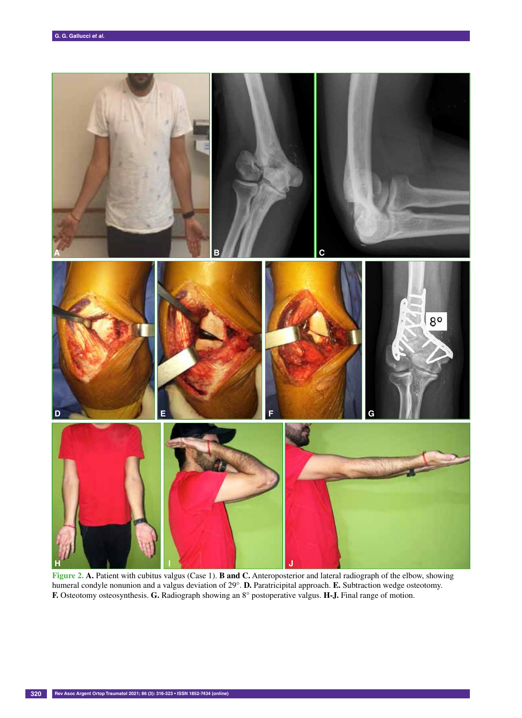

**Figure 2. A.** Patient with cubitus valgus (Case 1). **B and C.** Anteroposterior and lateral radiograph of the elbow, showing humeral condyle nonunion and a valgus deviation of 29°. **D.** Paratricipital approach. **E.** Subtraction wedge osteotomy. **F.** Osteotomy osteosynthesis. **G.** Radiograph showing an 8° postoperative valgus. **H-J.** Final range of motion.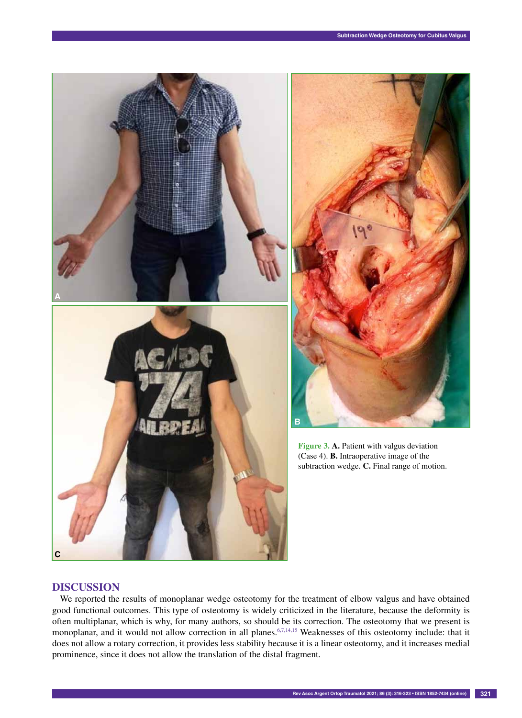

# **Discussion**

We reported the results of monoplanar wedge osteotomy for the treatment of elbow valgus and have obtained good functional outcomes. This type of osteotomy is widely criticized in the literature, because the deformity is often multiplanar, which is why, for many authors, so should be its correction. The osteotomy that we present is monoplanar, and it would not allow correction in all planes.<sup>6,7,14,15</sup> Weaknesses of this osteotomy include: that it does not allow a rotary correction, it provides less stability because it is a linear osteotomy, and it increases medial prominence, since it does not allow the translation of the distal fragment.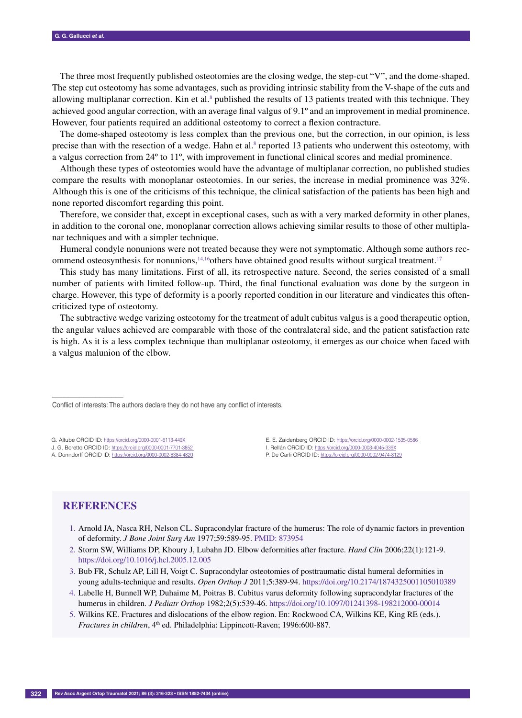The three most frequently published osteotomies are the closing wedge, the step-cut "V", and the dome-shaped. The step cut osteotomy has some advantages, such as providing intrinsic stability from the V-shape of the cuts and allowing multiplanar correction. Kin et al.<sup>8</sup> published the results of 13 patients treated with this technique. They achieved good angular correction, with an average final valgus of 9.1º and an improvement in medial prominence. However, four patients required an additional osteotomy to correct a flexion contracture.

The dome-shaped osteotomy is less complex than the previous one, but the correction, in our opinion, is less precise than with the resection of a wedge. Hahn et al.<sup>8</sup> reported 13 patients who underwent this osteotomy, with a valgus correction from 24º to 11º, with improvement in functional clinical scores and medial prominence.

Although these types of osteotomies would have the advantage of multiplanar correction, no published studies compare the results with monoplanar osteotomies. In our series, the increase in medial prominence was 32%. Although this is one of the criticisms of this technique, the clinical satisfaction of the patients has been high and none reported discomfort regarding this point.

Therefore, we consider that, except in exceptional cases, such as with a very marked deformity in other planes, in addition to the coronal one, monoplanar correction allows achieving similar results to those of other multiplanar techniques and with a simpler technique.

Humeral condyle nonunions were not treated because they were not symptomatic. Although some authors recommend osteosynthesis for nonunions,<sup>14,16</sup>others have obtained good results without surgical treatment.<sup>17</sup>

This study has many limitations. First of all, its retrospective nature. Second, the series consisted of a small number of patients with limited follow-up. Third, the final functional evaluation was done by the surgeon in charge. However, this type of deformity is a poorly reported condition in our literature and vindicates this oftencriticized type of osteotomy.

The subtractive wedge varizing osteotomy for the treatment of adult cubitus valgus is a good therapeutic option, the angular values achieved are comparable with those of the contralateral side, and the patient satisfaction rate is high. As it is a less complex technique than multiplanar osteotomy, it emerges as our choice when faced with a valgus malunion of the elbow.

Conflict of interests: The authors declare they do not have any conflict of interests.

G. Altube ORCID ID: https://orcid.org/0000-0001-6113-449X

J. G. Boretto ORCID ID: https://orcid.org/0000-0001-7701-3852

A. Donndorff ORCID ID: https://orcid.org/0000-0002-6384-4820

E. E. Zaidenberg ORCID ID: https://orcid.org/0000-0002-1535-0586 I. Rellán ORCID ID: https://orcid.org/0000-0003-4045-339X P. De Carli ORCID ID: https://orcid.org/0000-0002-9474-8129

# **References**

––––––––––––––––––

- 1. Arnold JA, Nasca RH, Nelson CL. Supracondylar fracture of the humerus: The role of dynamic factors in prevention of deformity. *J Bone Joint Surg Am* 1977;59:589-95. PMID: 873954
- 2. Storm SW, Williams DP, Khoury J, Lubahn JD. Elbow deformities after fracture. *Hand Clin* 2006;22(1):121-9. https://doi.org/10.1016/j.hcl.2005.12.005
- 3. Bub FR, Schulz AP, Lill H, Voigt C. Supracondylar osteotomies of posttraumatic distal humeral deformities in young adults-technique and results. *Open Orthop J* 2011;5:389-94. https://doi.org/10.2174/1874325001105010389
- 4. Labelle H, Bunnell WP, Duhaime M, Poitras B. Cubitus varus deformity following supracondylar fractures of the humerus in children. *J Pediatr Orthop* 1982;2(5):539-46. https://doi.org/10.1097/01241398-198212000-00014
- 5. Wilkins KE. Fractures and dislocations of the elbow region. En: Rockwood CA, Wilkins KE, King RE (eds.). *Fractures in children*, 4<sup>th</sup> ed. Philadelphia: Lippincott-Raven; 1996:600-887.